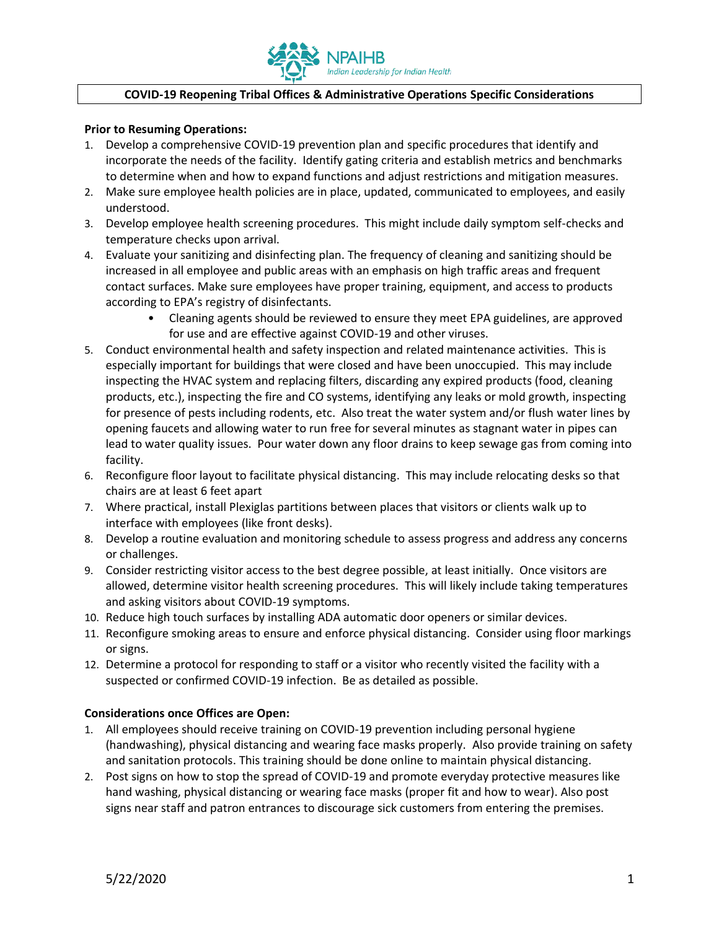

## **COVID-19 Reopening Tribal Offices & Administrative Operations Specific Considerations**

## **Prior to Resuming Operations:**

- 1. Develop a comprehensive COVID-19 prevention plan and specific procedures that identify and incorporate the needs of the facility. Identify gating criteria and establish metrics and benchmarks to determine when and how to expand functions and adjust restrictions and mitigation measures.
- 2. Make sure employee health policies are in place, updated, communicated to employees, and easily understood.
- 3. Develop employee health screening procedures. This might include daily symptom self-checks and temperature checks upon arrival.
- 4. Evaluate your sanitizing and disinfecting plan. The frequency of cleaning and sanitizing should be increased in all employee and public areas with an emphasis on high traffic areas and frequent contact surfaces. Make sure employees have proper training, equipment, and access to products according to EPA's registry of disinfectants.
	- Cleaning agents should be reviewed to ensure they meet EPA guidelines, are approved for use and are effective against COVID-19 and other viruses.
- 5. Conduct environmental health and safety inspection and related maintenance activities. This is especially important for buildings that were closed and have been unoccupied. This may include inspecting the HVAC system and replacing filters, discarding any expired products (food, cleaning products, etc.), inspecting the fire and CO systems, identifying any leaks or mold growth, inspecting for presence of pests including rodents, etc. Also treat the water system and/or flush water lines by opening faucets and allowing water to run free for several minutes as stagnant water in pipes can lead to water quality issues. Pour water down any floor drains to keep sewage gas from coming into facility.
- 6. Reconfigure floor layout to facilitate physical distancing. This may include relocating desks so that chairs are at least 6 feet apart
- 7. Where practical, install Plexiglas partitions between places that visitors or clients walk up to interface with employees (like front desks).
- 8. Develop a routine evaluation and monitoring schedule to assess progress and address any concerns or challenges.
- 9. Consider restricting visitor access to the best degree possible, at least initially. Once visitors are allowed, determine visitor health screening procedures. This will likely include taking temperatures and asking visitors about COVID-19 symptoms.
- 10. Reduce high touch surfaces by installing ADA automatic door openers or similar devices.
- 11. Reconfigure smoking areas to ensure and enforce physical distancing. Consider using floor markings or signs.
- 12. Determine a protocol for responding to staff or a visitor who recently visited the facility with a suspected or confirmed COVID-19 infection. Be as detailed as possible.

## **Considerations once Offices are Open:**

- 1. All employees should receive training on COVID-19 prevention including personal hygiene (handwashing), physical distancing and wearing face masks properly. Also provide training on safety and sanitation protocols. This training should be done online to maintain physical distancing.
- 2. Post signs on how to stop the spread of COVID-19 and promote everyday protective measures like hand washing, physical distancing or wearing face masks (proper fit and how to wear). Also post signs near staff and patron entrances to discourage sick customers from entering the premises.